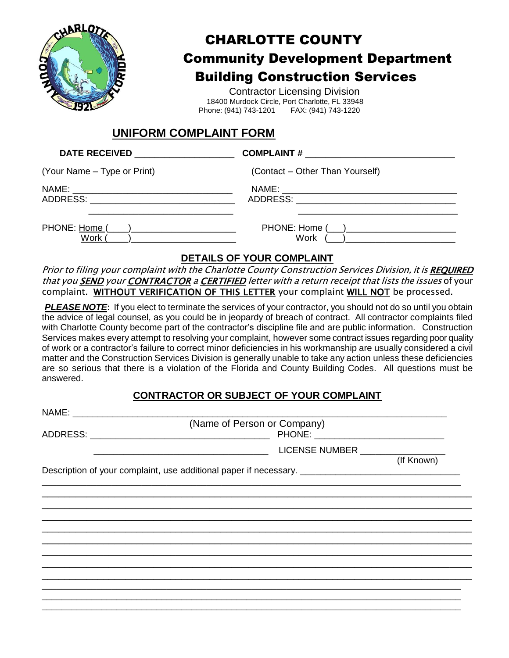

# CHARLOTTE COUNTY Community Development Department Building Construction Services

 Contractor Licensing Division 18400 Murdock Circle, Port Charlotte, FL 33948 Phone: (941) 743-1201

### **UNIFORM COMPLAINT FORM**

| <b>DATE RECEIVED</b>                    |                                 |  |  |
|-----------------------------------------|---------------------------------|--|--|
| (Your Name – Type or Print)             | (Contact – Other Than Yourself) |  |  |
| ADDRESS: ______________________________ |                                 |  |  |
| PHONE: Home (<br>Work                   | PHONE: Home ( )<br>Work         |  |  |

#### **DETAILS OF YOUR COMPLAINT**

Prior to filing your complaint with the Charlotte County Construction Services Division, it is REQUIRED that you **SEND** your **CONTRACTOR** a **CERTIFIED** letter with a return receipt that lists the issues of your complaint. WITHOUT VERIFICATION OF THIS LETTER your complaint WILL NOT be processed.

**PLEASE NOTE:** If you elect to terminate the services of your contractor, you should not do so until you obtain the advice of legal counsel, as you could be in jeopardy of breach of contract. All contractor complaints filed with Charlotte County become part of the contractor's discipline file and are public information. Construction Services makes every attempt to resolving your complaint, however some contract issues regarding poor quality of work or a contractor's failure to correct minor deficiencies in his workmanship are usually considered a civil matter and the Construction Services Division is generally unable to take any action unless these deficiencies are so serious that there is a violation of the Florida and County Building Codes. All questions must be answered.

#### **CONTRACTOR OR SUBJECT OF YOUR COMPLAINT**

| (Name of Person or Company) |                                                                                                     |            |
|-----------------------------|-----------------------------------------------------------------------------------------------------|------------|
|                             | LICENSE NUMBER __________________                                                                   | (If Known) |
|                             | Description of your complaint, use additional paper if necessary. _________________________________ |            |
|                             |                                                                                                     |            |
|                             |                                                                                                     |            |
|                             |                                                                                                     |            |
|                             |                                                                                                     |            |
|                             |                                                                                                     |            |
|                             |                                                                                                     |            |
|                             |                                                                                                     |            |